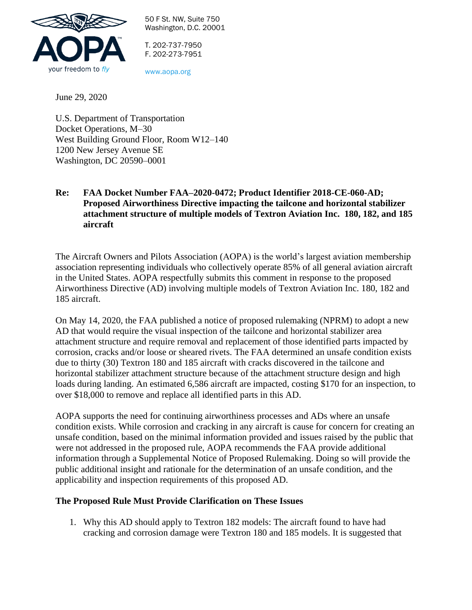

50 F St. NW, Suite 750 Washington, D.C. 20001

T. 202-737-7950 F. 202-273-7951

www.aopa.org

June 29, 2020

U.S. Department of Transportation Docket Operations, M–30 West Building Ground Floor, Room W12–140 1200 New Jersey Avenue SE Washington, DC 20590–0001

## **Re: FAA Docket Number FAA–2020-0472; Product Identifier 2018-CE-060-AD; Proposed Airworthiness Directive impacting the tailcone and horizontal stabilizer attachment structure of multiple models of Textron Aviation Inc. 180, 182, and 185 aircraft**

The Aircraft Owners and Pilots Association (AOPA) is the world's largest aviation membership association representing individuals who collectively operate 85% of all general aviation aircraft in the United States. AOPA respectfully submits this comment in response to the proposed Airworthiness Directive (AD) involving multiple models of Textron Aviation Inc. 180, 182 and 185 aircraft.

On May 14, 2020, the FAA published a notice of proposed rulemaking (NPRM) to adopt a new AD that would require the visual inspection of the tailcone and horizontal stabilizer area attachment structure and require removal and replacement of those identified parts impacted by corrosion, cracks and/or loose or sheared rivets. The FAA determined an unsafe condition exists due to thirty (30) Textron 180 and 185 aircraft with cracks discovered in the tailcone and horizontal stabilizer attachment structure because of the attachment structure design and high loads during landing. An estimated 6,586 aircraft are impacted, costing \$170 for an inspection, to over \$18,000 to remove and replace all identified parts in this AD.

AOPA supports the need for continuing airworthiness processes and ADs where an unsafe condition exists. While corrosion and cracking in any aircraft is cause for concern for creating an unsafe condition, based on the minimal information provided and issues raised by the public that were not addressed in the proposed rule, AOPA recommends the FAA provide additional information through a Supplemental Notice of Proposed Rulemaking. Doing so will provide the public additional insight and rationale for the determination of an unsafe condition, and the applicability and inspection requirements of this proposed AD.

## **The Proposed Rule Must Provide Clarification on These Issues**

1. Why this AD should apply to Textron 182 models: The aircraft found to have had cracking and corrosion damage were Textron 180 and 185 models. It is suggested that